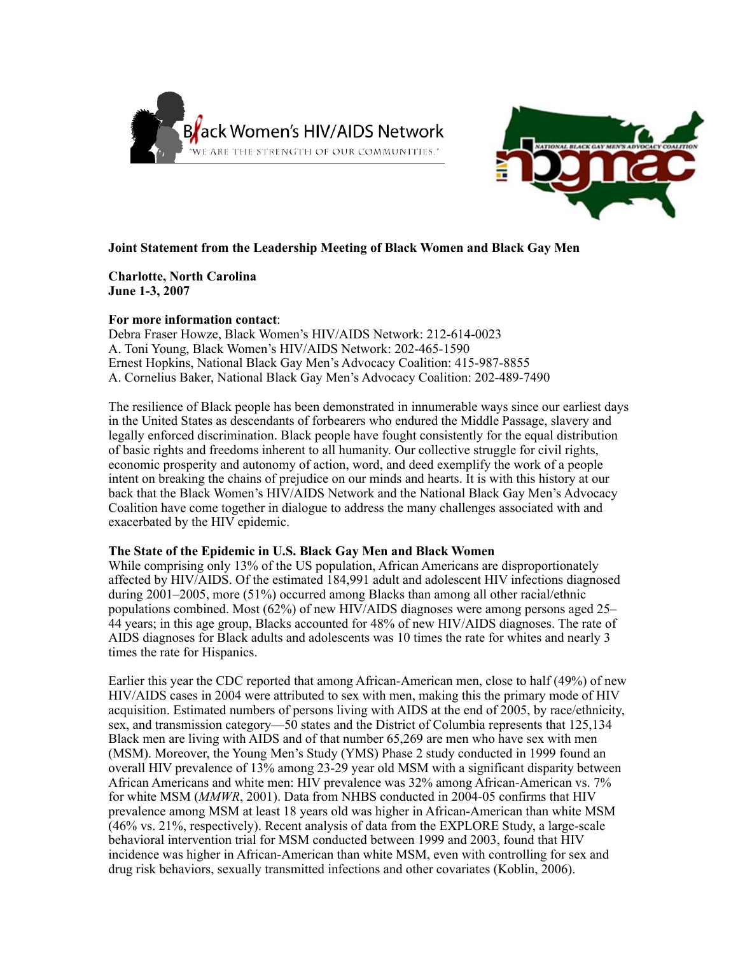



## **Joint Statement from the Leadership Meeting of Black Women and Black Gay Men**

**Charlotte, North Carolina June 1-3, 2007**

### **For more information contact**:

Debra Fraser Howze, Black Women's HIV/AIDS Network: 212-614-0023 A. Toni Young, Black Women's HIV/AIDS Network: 202-465-1590 Ernest Hopkins, National Black Gay Men's Advocacy Coalition: 415-987-8855 A. Cornelius Baker, National Black Gay Men's Advocacy Coalition: 202-489-7490

The resilience of Black people has been demonstrated in innumerable ways since our earliest days in the United States as descendants of forbearers who endured the Middle Passage, slavery and legally enforced discrimination. Black people have fought consistently for the equal distribution of basic rights and freedoms inherent to all humanity. Our collective struggle for civil rights, economic prosperity and autonomy of action, word, and deed exemplify the work of a people intent on breaking the chains of prejudice on our minds and hearts. It is with this history at our back that the Black Women's HIV/AIDS Network and the National Black Gay Men's Advocacy Coalition have come together in dialogue to address the many challenges associated with and exacerbated by the HIV epidemic.

### **The State of the Epidemic in U.S. Black Gay Men and Black Women**

While comprising only 13% of the US population, African Americans are disproportionately affected by HIV/AIDS. Of the estimated 184,991 adult and adolescent HIV infections diagnosed during 2001–2005, more (51%) occurred among Blacks than among all other racial/ethnic populations combined. Most (62%) of new HIV/AIDS diagnoses were among persons aged 25– 44 years; in this age group, Blacks accounted for 48% of new HIV/AIDS diagnoses. The rate of AIDS diagnoses for Black adults and adolescents was 10 times the rate for whites and nearly 3 times the rate for Hispanics.

Earlier this year the CDC reported that among African-American men, close to half (49%) of new HIV/AIDS cases in 2004 were attributed to sex with men, making this the primary mode of HIV acquisition. Estimated numbers of persons living with AIDS at the end of 2005, by race/ethnicity, sex, and transmission category—50 states and the District of Columbia represents that 125,134 Black men are living with AIDS and of that number 65,269 are men who have sex with men (MSM). Moreover, the Young Men's Study (YMS) Phase 2 study conducted in 1999 found an overall HIV prevalence of 13% among 23-29 year old MSM with a significant disparity between African Americans and white men: HIV prevalence was 32% among African-American vs. 7% for white MSM (*MMWR*, 2001). Data from NHBS conducted in 2004-05 confirms that HIV prevalence among MSM at least 18 years old was higher in African-American than white MSM (46% vs. 21%, respectively). Recent analysis of data from the EXPLORE Study, a large-scale behavioral intervention trial for MSM conducted between 1999 and 2003, found that HIV incidence was higher in African-American than white MSM, even with controlling for sex and drug risk behaviors, sexually transmitted infections and other covariates (Koblin, 2006).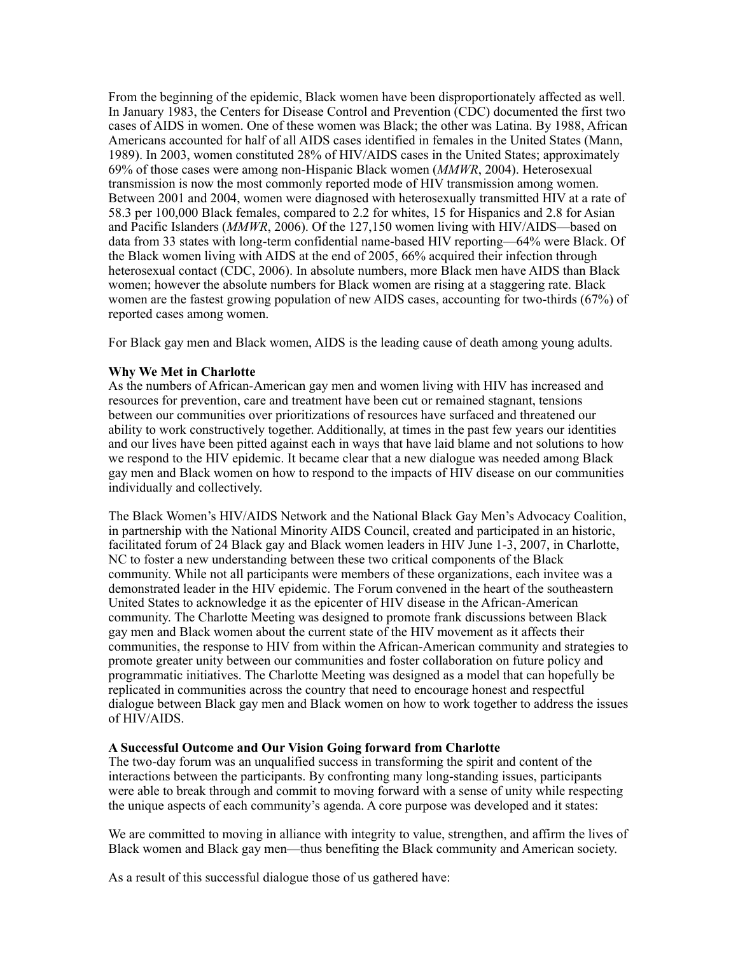From the beginning of the epidemic, Black women have been disproportionately affected as well. In January 1983, the Centers for Disease Control and Prevention (CDC) documented the first two cases of AIDS in women. One of these women was Black; the other was Latina. By 1988, African Americans accounted for half of all AIDS cases identified in females in the United States (Mann, 1989). In 2003, women constituted 28% of HIV/AIDS cases in the United States; approximately 69% of those cases were among non-Hispanic Black women (*MMWR*, 2004). Heterosexual transmission is now the most commonly reported mode of HIV transmission among women. Between 2001 and 2004, women were diagnosed with heterosexually transmitted HIV at a rate of 58.3 per 100,000 Black females, compared to 2.2 for whites, 15 for Hispanics and 2.8 for Asian and Pacific Islanders (*MMWR*, 2006). Of the 127,150 women living with HIV/AIDS—based on data from 33 states with long-term confidential name-based HIV reporting—64% were Black. Of the Black women living with AIDS at the end of 2005, 66% acquired their infection through heterosexual contact (CDC, 2006). In absolute numbers, more Black men have AIDS than Black women; however the absolute numbers for Black women are rising at a staggering rate. Black women are the fastest growing population of new AIDS cases, accounting for two-thirds (67%) of reported cases among women.

For Black gay men and Black women, AIDS is the leading cause of death among young adults.

# **Why We Met in Charlotte**

As the numbers of African-American gay men and women living with HIV has increased and resources for prevention, care and treatment have been cut or remained stagnant, tensions between our communities over prioritizations of resources have surfaced and threatened our ability to work constructively together. Additionally, at times in the past few years our identities and our lives have been pitted against each in ways that have laid blame and not solutions to how we respond to the HIV epidemic. It became clear that a new dialogue was needed among Black gay men and Black women on how to respond to the impacts of HIV disease on our communities individually and collectively.

The Black Women's HIV/AIDS Network and the National Black Gay Men's Advocacy Coalition, in partnership with the National Minority AIDS Council, created and participated in an historic, facilitated forum of 24 Black gay and Black women leaders in HIV June 1-3, 2007, in Charlotte, NC to foster a new understanding between these two critical components of the Black community. While not all participants were members of these organizations, each invitee was a demonstrated leader in the HIV epidemic. The Forum convened in the heart of the southeastern United States to acknowledge it as the epicenter of HIV disease in the African-American community. The Charlotte Meeting was designed to promote frank discussions between Black gay men and Black women about the current state of the HIV movement as it affects their communities, the response to HIV from within the African-American community and strategies to promote greater unity between our communities and foster collaboration on future policy and programmatic initiatives. The Charlotte Meeting was designed as a model that can hopefully be replicated in communities across the country that need to encourage honest and respectful dialogue between Black gay men and Black women on how to work together to address the issues of HIV/AIDS.

## **A Successful Outcome and Our Vision Going forward from Charlotte**

The two-day forum was an unqualified success in transforming the spirit and content of the interactions between the participants. By confronting many long-standing issues, participants were able to break through and commit to moving forward with a sense of unity while respecting the unique aspects of each community's agenda. A core purpose was developed and it states:

We are committed to moving in alliance with integrity to value, strengthen, and affirm the lives of Black women and Black gay men—thus benefiting the Black community and American society.

As a result of this successful dialogue those of us gathered have: